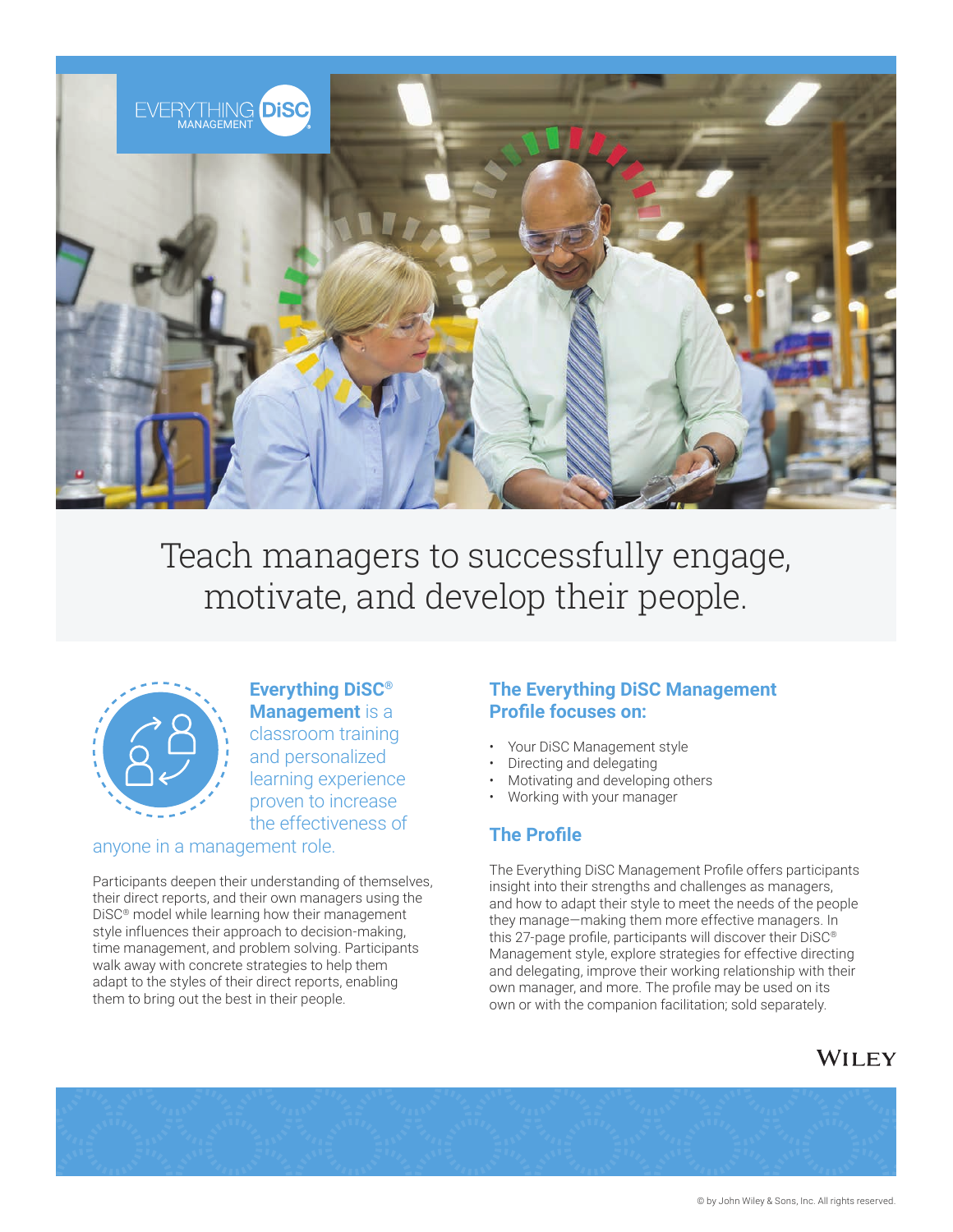

Teach managers to successfully engage, motivate, and develop their people.



## **Everything DiSC® Management** is a classroom training and personalized learning experience proven to increase the effectiveness of

anyone in a management role.

Participants deepen their understanding of themselves, their direct reports, and their own managers using the DiSC® model while learning how their management style influences their approach to decision-making, time management, and problem solving. Participants walk away with concrete strategies to help them adapt to the styles of their direct reports, enabling them to bring out the best in their people.

### **The Everything DiSC Management Profile focuses on:**

- Your DiSC Management style
- Directing and delegating
- Motivating and developing others
- Working with your manager

### **The Profile**

The Everything DiSC Management Profile offers participants insight into their strengths and challenges as managers, and how to adapt their style to meet the needs of the people they manage—making them more effective managers. In this 27-page profile, participants will discover their DiSC® Management style, explore strategies for effective directing and delegating, improve their working relationship with their own manager, and more. The profile may be used on its own or with the companion facilitation; sold separately.

# WILEY